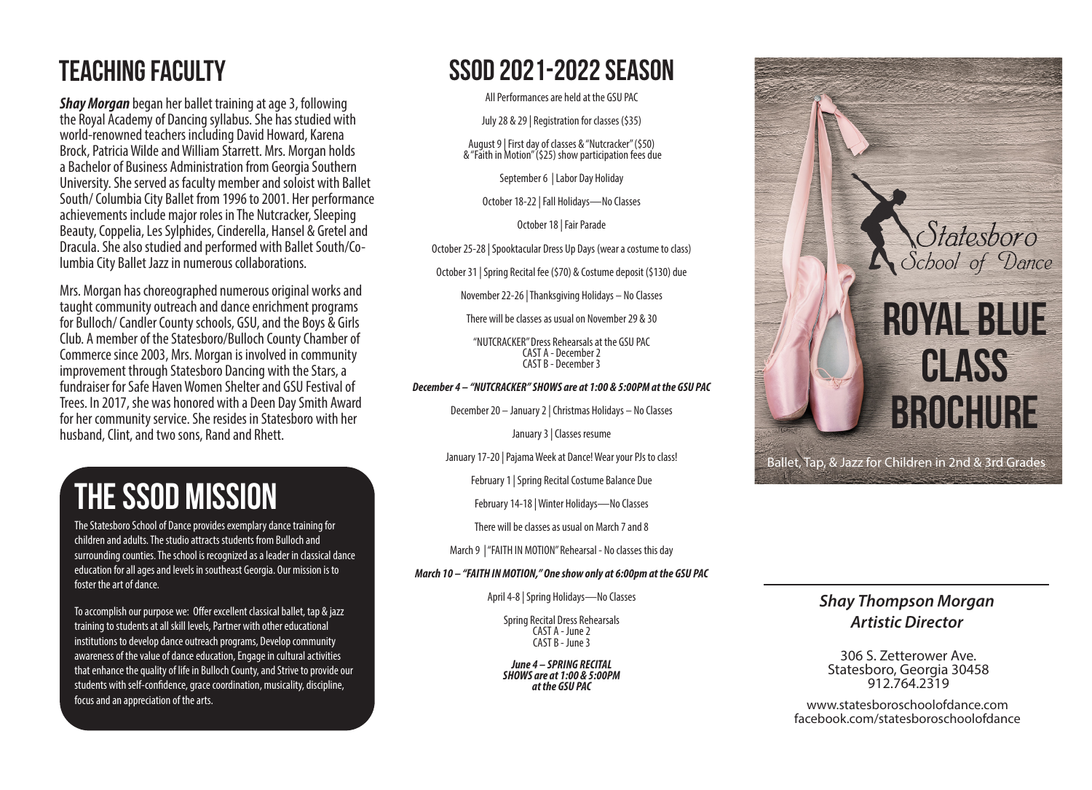# teaching faculty

*Shay Morgan* began her ballet training at age 3, following the Royal Academy of Dancing syllabus. She has studied with world-renowned teachers including David Howard, Karena Brock, Patricia Wilde and William Starrett. Mrs. Morgan holds a Bachelor of Business Administration from Georgia Southern University. She served as faculty member and soloist with Ballet South/ Columbia City Ballet from 1996 to 2001. Her performance achievements include major roles in The Nutcracker, Sleeping Beauty, Coppelia, Les Sylphides, Cinderella, Hansel & Gretel and Dracula. She also studied and performed with Ballet South/Columbia City Ballet Jazz in numerous collaborations.

Mrs. Morgan has choreographed numerous original works and taught community outreach and dance enrichment programs for Bulloch/ Candler County schools, GSU, and the Boys & Girls Club. A member of the Statesboro/Bulloch County Chamber of Commerce since 2003, Mrs. Morgan is involved in community improvement through Statesboro Dancing with the Stars, a fundraiser for Safe Haven Women Shelter and GSU Festival of Trees. In 2017, she was honored with a Deen Day Smith Award for her community service. She resides in Statesboro with her husband, Clint, and two sons, Rand and Rhett.

# THE SSOD MISSION

The Statesboro School of Dance provides exemplary dance training for children and adults. The studio attracts students from Bulloch and surrounding counties. The school is recognized as a leader in classical dance education for all ages and levels in southeast Georgia. Our mission is to foster the art of dance.

To accomplish our purpose we: Offer excellent classical ballet, tap & jazz training to students at all skill levels, Partner with other educational institutions to develop dance outreach programs, Develop community awareness of the value of dance education, Engage in cultural activities that enhance the quality of life in Bulloch County, and Strive to provide our students with self-confidence, grace coordination, musicality, discipline, focus and an appreciation of the arts.

## SSOD 2021-2022 SEASON

All Performances are held at the GSU PAC

July 28 & 29 | Registration for classes (\$35)

August 9 | First day of classes & "Nutcracker" (\$50) & "Faith in Motion" (\$25) show participation fees due

September 6 | Labor Day Holiday

October 18-22 | Fall Holidays—No Classes

October 18 | Fair Parade

October 25-28 | Spooktacular Dress Up Days (wear a costume to class)

October 31 | Spring Recital fee (\$70) & Costume deposit (\$130) due

November 22-26 | Thanksgiving Holidays – No Classes

There will be classes as usual on November 29 & 30

"NUTCRACKER" Dress Rehearsals at the GSU PAC CAST A - December 2 CAST B - December 3

#### *December 4 – "NUTCRACKER" SHOWS are at 1:00 & 5:00PM at the GSU PAC*

December 20 – January 2 | Christmas Holidays – No Classes

January 3 | Classes resume

January 17-20 | Pajama Week at Dance! Wear your PJs to class!

February 1 | Spring Recital Costume Balance Due

February 14-18 | Winter Holidays—No Classes

There will be classes as usual on March 7 and 8

March 9 | "FAITH IN MOTION" Rehearsal - No classes this day

#### *March 10 – "FAITH IN MOTION," One show only at 6:00pm at the GSU PAC*

April 4-8 | Spring Holidays—No Classes

Spring Recital Dress Rehearsals CAST A - June 2 CAST B - June 3

*June 4 – SPRING RECITAL SHOWS are at 1:00 & 5:00PM at the GSU PAC*



Ballet, Tap, & Jazz for Children in 2nd & 3rd Grades

#### *Shay Thompson Morgan Artistic Director*

306 S. Zetterower Ave. Statesboro, Georgia 30458 912.764.2319

www.statesboroschoolofdance.com facebook.com/statesboroschoolofdance